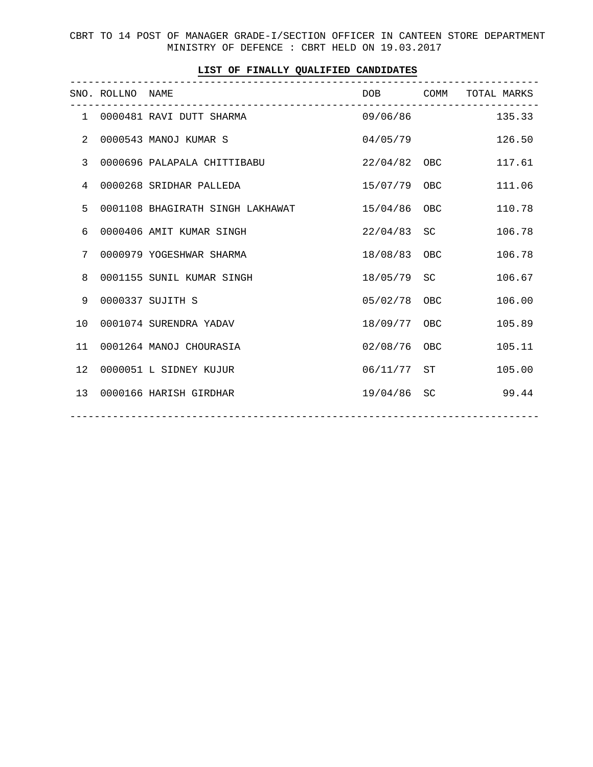CBRT TO 14 POST OF MANAGER GRADE-I/SECTION OFFICER IN CANTEEN STORE DEPARTMENT MINISTRY OF DEFENCE : CBRT HELD ON 19.03.2017

|                | SNO. ROLLNO NAME | _____________________________    | DOB COMM       |            | TOTAL MARKS |
|----------------|------------------|----------------------------------|----------------|------------|-------------|
|                |                  | 1 0000481 RAVI DUTT SHARMA       | 09/06/86       |            | 135.33      |
| 2              |                  | 0000543 MANOJ KUMAR S            | 04/05/79       |            | 126.50      |
| $\overline{3}$ |                  | 0000696 PALAPALA CHITTIBABU      | $22/04/82$ OBC |            | 117.61      |
| 4              |                  | 0000268 SRIDHAR PALLEDA          | 15/07/79 OBC   |            | 111.06      |
| 5              |                  | 0001108 BHAGIRATH SINGH LAKHAWAT | 15/04/86 OBC   |            | 110.78      |
| 6              |                  | 0000406 AMIT KUMAR SINGH         | 22/04/83       | SC –       | 106.78      |
| 7              |                  | 0000979 YOGESHWAR SHARMA         | 18/08/83 OBC   |            | 106.78      |
| 8              |                  | 0001155 SUNIL KUMAR SINGH        | 18/05/79       | SC –       | 106.67      |
| 9              |                  | 0000337 SUJITH S                 | 05/02/78       | OBC        | 106.00      |
| 10             |                  | 0001074 SURENDRA YADAV           | 18/09/77 OBC   |            | 105.89      |
| 11             |                  | 0001264 MANOJ CHOURASIA          | 02/08/76       | <b>OBC</b> | 105.11      |
| 12             |                  | 0000051 L SIDNEY KUJUR           | 06/11/77 ST    |            | 105.00      |
| 13             |                  | 0000166 HARISH GIRDHAR           | 19/04/86       | SC         | 99.44       |
|                |                  |                                  |                |            |             |

## **LIST OF FINALLY QUALIFIED CANDIDATES**

-----------------------------------------------------------------------------